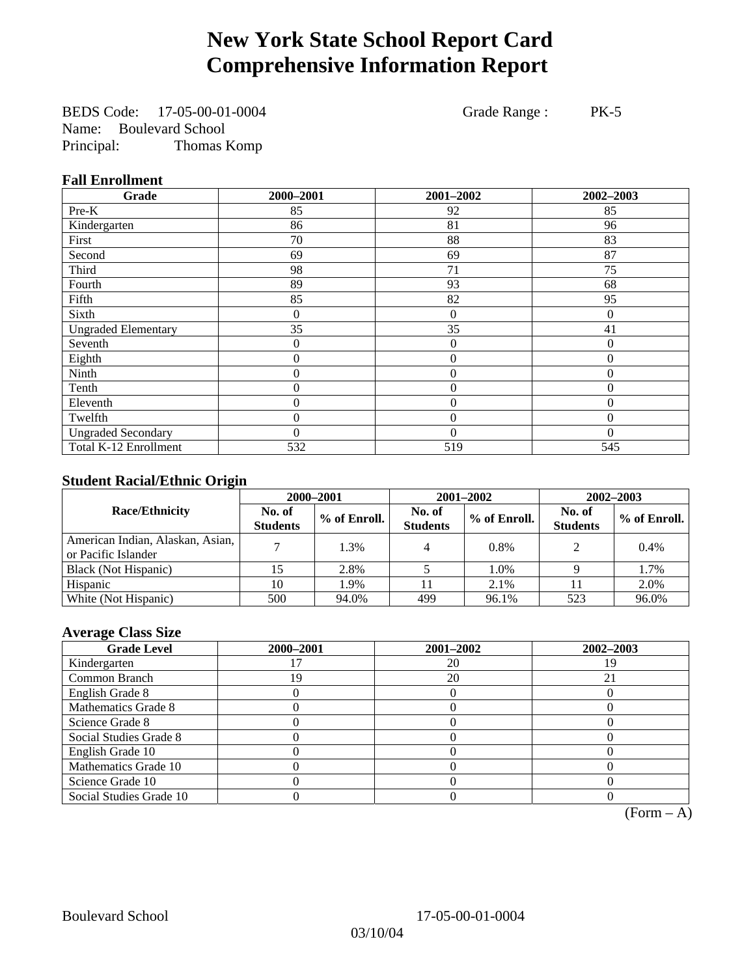# **New York State School Report Card Comprehensive Information Report**

BEDS Code: 17-05-00-01-0004 Grade Range : PK-5 Name: Boulevard School Principal: Thomas Komp

**Fall Enrollment** 

| Grade                      | 2000-2001 | 2001-2002        | 2002-2003 |
|----------------------------|-----------|------------------|-----------|
| Pre-K                      | 85        | 92               | 85        |
| Kindergarten               | 86        | 81               | 96        |
| First                      | 70        | 88               | 83        |
| Second                     | 69        | 69               | 87        |
| Third                      | 98        | 71               | 75        |
| Fourth                     | 89        | 93               | 68        |
| Fifth                      | 85        | 82               | 95        |
| Sixth                      | 0         | $\boldsymbol{0}$ | $\theta$  |
| <b>Ungraded Elementary</b> | 35        | 35               | 41        |
| Seventh                    | 0         | $\theta$         | $\theta$  |
| Eighth                     | 0         | $\overline{0}$   | $\Omega$  |
| Ninth                      | 0         | $\overline{0}$   | $\theta$  |
| Tenth                      | 0         | $\overline{0}$   | $\theta$  |
| Eleventh                   | 0         | $\overline{0}$   | $\Omega$  |
| Twelfth                    | 0         | $\overline{0}$   | $\Omega$  |
| <b>Ungraded Secondary</b>  | $\theta$  | $\theta$         | $\Omega$  |
| Total K-12 Enrollment      | 532       | 519              | 545       |

### **Student Racial/Ethnic Origin**

|                                                         | 2000-2001                 |              |                           | 2001-2002    | $2002 - 2003$             |                |
|---------------------------------------------------------|---------------------------|--------------|---------------------------|--------------|---------------------------|----------------|
| <b>Race/Ethnicity</b>                                   | No. of<br><b>Students</b> | % of Enroll. | No. of<br><b>Students</b> | % of Enroll. | No. of<br><b>Students</b> | $%$ of Enroll. |
| American Indian, Alaskan, Asian,<br>or Pacific Islander |                           | 1.3%         |                           | 0.8%         | $\gamma$                  | $0.4\%$        |
| Black (Not Hispanic)                                    |                           | 2.8%         |                           | 1.0%         |                           | 1.7%           |
| Hispanic                                                | 10                        | 1.9%         |                           | 2.1%         | Ħ                         | 2.0%           |
| White (Not Hispanic)                                    | 500                       | 94.0%        | 499                       | 96.1%        | 523                       | 96.0%          |

### **Average Class Size**

| <b>Grade Level</b>      | 2000-2001 | 2001-2002 | 2002-2003 |
|-------------------------|-----------|-----------|-----------|
| Kindergarten            |           | 20        |           |
| Common Branch           | 9         | 20        | 21        |
| English Grade 8         |           |           |           |
| Mathematics Grade 8     |           |           |           |
| Science Grade 8         |           |           |           |
| Social Studies Grade 8  |           |           |           |
| English Grade 10        |           |           |           |
| Mathematics Grade 10    |           |           |           |
| Science Grade 10        |           |           |           |
| Social Studies Grade 10 |           |           |           |

 $(Form – A)$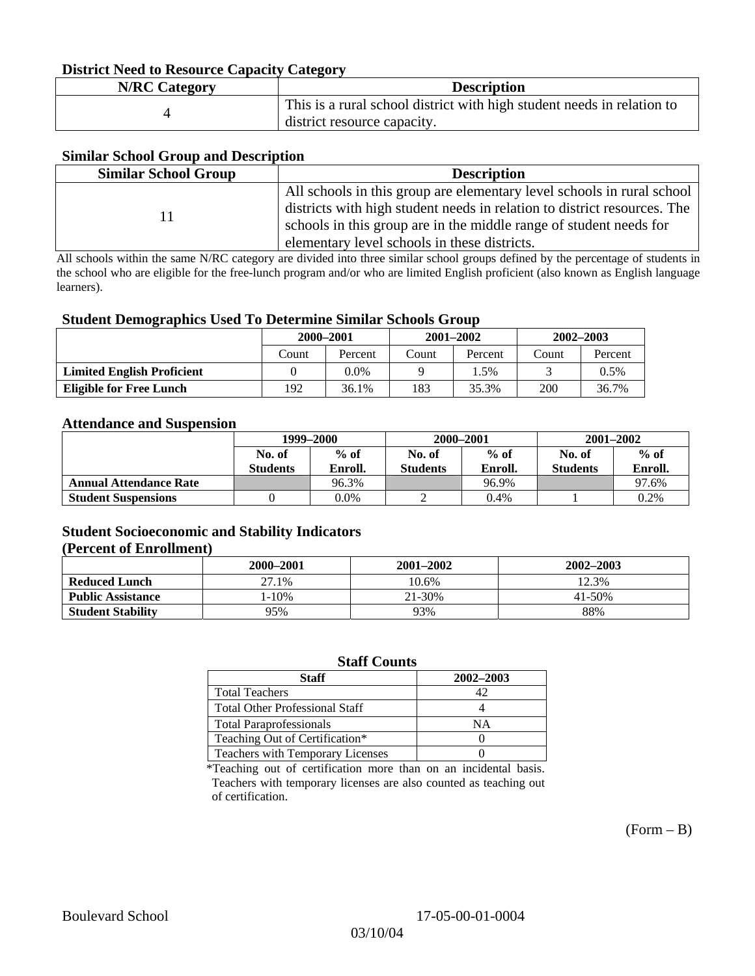### **District Need to Resource Capacity Category**

| <b>N/RC Category</b> | <b>Description</b>                                                     |
|----------------------|------------------------------------------------------------------------|
|                      | This is a rural school district with high student needs in relation to |
|                      | district resource capacity.                                            |

### **Similar School Group and Description**

| <b>Similar School Group</b> | <b>Description</b>                                                       |
|-----------------------------|--------------------------------------------------------------------------|
|                             | All schools in this group are elementary level schools in rural school   |
|                             | districts with high student needs in relation to district resources. The |
|                             | schools in this group are in the middle range of student needs for       |
|                             | elementary level schools in these districts.                             |

All schools within the same N/RC category are divided into three similar school groups defined by the percentage of students in the school who are eligible for the free-lunch program and/or who are limited English proficient (also known as English language learners).

#### **Student Demographics Used To Determine Similar Schools Group**

| . .                               | 2000-2001 |         | $2001 - 2002$ |         | $2002 - 2003$ |         |
|-----------------------------------|-----------|---------|---------------|---------|---------------|---------|
|                                   | Count     | Percent | Count         | Percent | Count         | Percent |
| <b>Limited English Proficient</b> |           | 0.0%    |               | . .5%   |               | $0.5\%$ |
| <b>Eligible for Free Lunch</b>    | 192       | 36.1%   | 183           | 35.3%   | 200           | 36.7%   |

#### **Attendance and Suspension**

|                               | 1999–2000<br>$%$ of<br>No. of |         |                  | 2000-2001 | $2001 - 2002$   |         |
|-------------------------------|-------------------------------|---------|------------------|-----------|-----------------|---------|
|                               |                               |         | $%$ of<br>No. of |           | No. of          | $%$ of  |
|                               | <b>Students</b>               | Enroll. | <b>Students</b>  | Enroll.   | <b>Students</b> | Enroll. |
| <b>Annual Attendance Rate</b> |                               | 96.3%   |                  | 96.9%     |                 | 97.6%   |
| <b>Student Suspensions</b>    |                               | 0.0%    |                  | 0.4%      |                 | 0.2%    |

### **Student Socioeconomic and Stability Indicators (Percent of Enrollment)**

|                          | 2000–2001 | $2001 - 2002$ | 2002-2003  |
|--------------------------|-----------|---------------|------------|
| <b>Reduced Lunch</b>     | 27.1%     | 10.6%         | 12.3%      |
| <b>Public Assistance</b> | $-10%$    | 21-30%        | $41 - 50%$ |
| <b>Student Stability</b> | 95%       | 93%           | 88%        |

#### **Staff Counts**

| Staff                                 | 2002-2003 |
|---------------------------------------|-----------|
| <b>Total Teachers</b>                 |           |
| <b>Total Other Professional Staff</b> |           |
| <b>Total Paraprofessionals</b>        | NΑ        |
| Teaching Out of Certification*        |           |
| Teachers with Temporary Licenses      |           |

\*Teaching out of certification more than on an incidental basis. Teachers with temporary licenses are also counted as teaching out of certification.

 $(Form - B)$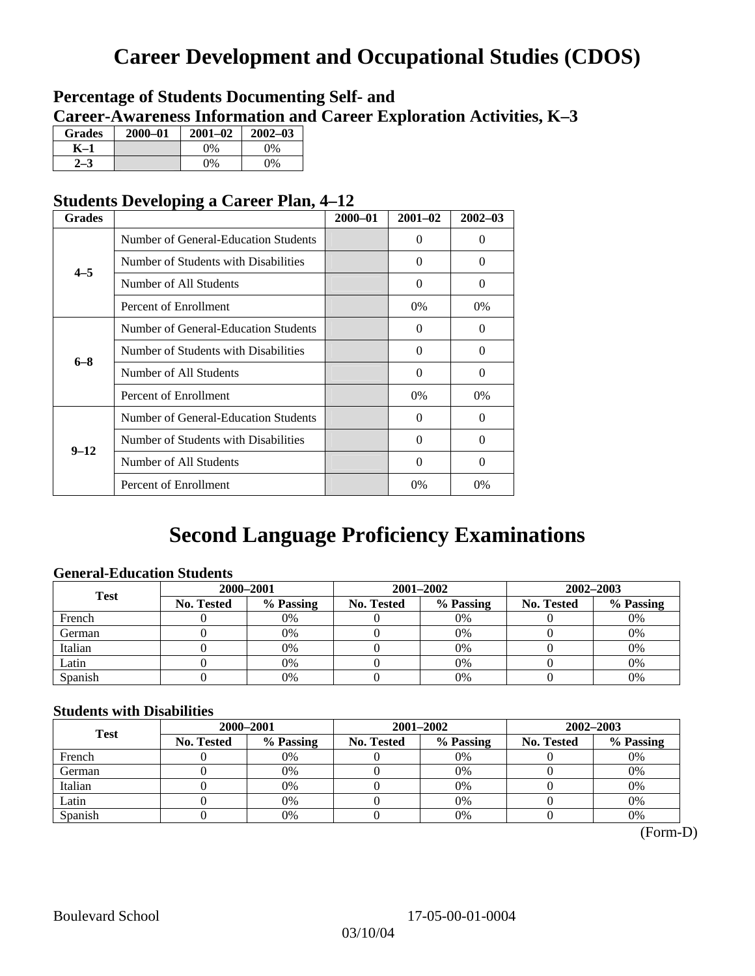# **Career Development and Occupational Studies (CDOS)**

### **Percentage of Students Documenting Self- and Career-Awareness Information and Career Exploration Activities, K–3**

| <b>Grades</b> | 2000-01 | $2001 - 02$ | $2002 - 03$ |
|---------------|---------|-------------|-------------|
| K-1           |         | $0\%$       | 0%          |
| $2 - 3$       |         | $0\%$       | $0\%$       |

### **Students Developing a Career Plan, 4–12**

| <b>Grades</b> |                                      | $2000 - 01$ | $2001 - 02$ | $2002 - 03$ |
|---------------|--------------------------------------|-------------|-------------|-------------|
|               | Number of General-Education Students |             | $\Omega$    | 0           |
| $4 - 5$       | Number of Students with Disabilities |             | $\Omega$    | 0           |
|               | Number of All Students               |             | 0           | $\Omega$    |
|               | Percent of Enrollment                |             | $0\%$       | $0\%$       |
|               | Number of General-Education Students |             | $\Omega$    | 0           |
| $6 - 8$       | Number of Students with Disabilities |             | $\Omega$    | $\Omega$    |
|               | Number of All Students               |             | $\Omega$    | $\Omega$    |
|               | Percent of Enrollment                |             | $0\%$       | $0\%$       |
|               | Number of General-Education Students |             | $\Omega$    | 0           |
| $9 - 12$      | Number of Students with Disabilities |             | $\Omega$    | $\Omega$    |
|               | Number of All Students               |             | 0           | 0           |
|               | Percent of Enrollment                |             | 0%          | $0\%$       |

# **Second Language Proficiency Examinations**

### **General-Education Students**

| <b>Test</b> | 2000-2001         |           |            | 2001-2002 | $2002 - 2003$ |           |
|-------------|-------------------|-----------|------------|-----------|---------------|-----------|
|             | <b>No. Tested</b> | % Passing | No. Tested | % Passing | No. Tested    | % Passing |
| French      |                   | 0%        |            | 0%        |               | 0%        |
| German      |                   | 0%        |            | $0\%$     |               | 0%        |
| Italian     |                   | 0%        |            | 0%        |               | 0%        |
| Latin       |                   | 0%        |            | 0%        |               | 0%        |
| Spanish     |                   | 0%        |            | 0%        |               | 0%        |

### **Students with Disabilities**

| <b>Test</b> | 2000-2001         |           |            | 2001-2002 | 2002-2003  |           |  |
|-------------|-------------------|-----------|------------|-----------|------------|-----------|--|
|             | <b>No. Tested</b> | % Passing | No. Tested | % Passing | No. Tested | % Passing |  |
| French      |                   | 0%        |            | 0%        |            | 0%        |  |
| German      |                   | 0%        |            | 0%        |            | 0%        |  |
| Italian     |                   | 0%        |            | 0%        |            | 0%        |  |
| Latin       |                   | 0%        |            | 0%        |            | 0%        |  |
| Spanish     |                   | 0%        |            | 0%        |            | 0%        |  |

(Form-D)